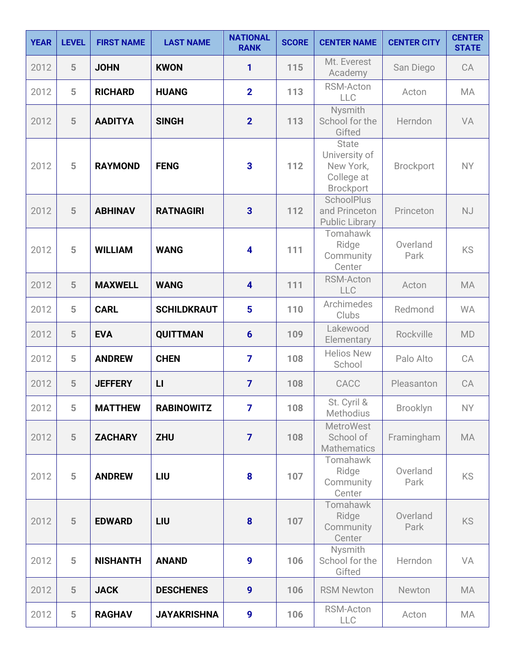| <b>YEAR</b> | <b>LEVEL</b>   | <b>FIRST NAME</b> | <b>LAST NAME</b>   | <b>NATIONAL</b><br><b>RANK</b> | <b>SCORE</b> | <b>CENTER NAME</b>                                                           | <b>CENTER CITY</b> | <b>CENTER</b><br><b>STATE</b> |
|-------------|----------------|-------------------|--------------------|--------------------------------|--------------|------------------------------------------------------------------------------|--------------------|-------------------------------|
| 2012        | 5              | <b>JOHN</b>       | <b>KWON</b>        | 1                              | 115          | Mt. Everest<br>Academy                                                       | San Diego          | CA                            |
| 2012        | 5              | <b>RICHARD</b>    | <b>HUANG</b>       | $\overline{2}$                 | 113          | RSM-Acton<br>LLC                                                             | Acton              | <b>MA</b>                     |
| 2012        | 5              | <b>AADITYA</b>    | <b>SINGH</b>       | $\overline{2}$                 | 113          | Nysmith<br>School for the<br>Gifted                                          | Herndon            | VA                            |
| 2012        | 5              | <b>RAYMOND</b>    | <b>FENG</b>        | 3                              | 112          | <b>State</b><br>University of<br>New York,<br>College at<br><b>Brockport</b> | <b>Brockport</b>   | <b>NY</b>                     |
| 2012        | 5              | <b>ABHINAV</b>    | <b>RATNAGIRI</b>   | $\overline{\mathbf{3}}$        | 112          | <b>SchoolPlus</b><br>and Princeton<br><b>Public Library</b>                  | Princeton          | <b>NJ</b>                     |
| 2012        | 5              | <b>WILLIAM</b>    | <b>WANG</b>        | $\overline{\mathbf{4}}$        | 111          | Tomahawk<br>Ridge<br>Community<br>Center                                     | Overland<br>Park   | <b>KS</b>                     |
| 2012        | 5              | <b>MAXWELL</b>    | <b>WANG</b>        | $\overline{\mathbf{4}}$        | 111          | <b>RSM-Acton</b><br>LLC                                                      | Acton              | <b>MA</b>                     |
| 2012        | 5              | <b>CARL</b>       | <b>SCHILDKRAUT</b> | $5\phantom{a}$                 | 110          | Archimedes<br>Clubs                                                          | Redmond            | <b>WA</b>                     |
| 2012        | 5              | <b>EVA</b>        | <b>QUITTMAN</b>    | $6\phantom{1}$                 | 109          | Lakewood<br>Elementary                                                       | Rockville          | MD                            |
| 2012        | 5              | <b>ANDREW</b>     | <b>CHEN</b>        | $\overline{7}$                 | 108          | <b>Helios New</b><br>School                                                  | Palo Alto          | CA                            |
| 2012        | 5              | <b>JEFFERY</b>    | $\mathsf{L}$       | $\overline{7}$                 | 108          | CACC                                                                         | Pleasanton         | CA                            |
| 2012        | 5              | <b>MATTHEW</b>    | <b>RABINOWITZ</b>  | 7                              | 108          | St. Cyril &<br><b>Methodius</b>                                              | Brooklyn           | <b>NY</b>                     |
| 2012        | 5              | <b>ZACHARY</b>    | <b>ZHU</b>         | $\overline{7}$                 | 108          | <b>MetroWest</b><br>School of<br><b>Mathematics</b>                          | Framingham         | <b>MA</b>                     |
| 2012        | 5              | <b>ANDREW</b>     | LIU                | 8                              | 107          | Tomahawk<br>Ridge<br>Community<br>Center                                     | Overland<br>Park   | <b>KS</b>                     |
| 2012        | 5              | <b>EDWARD</b>     | LIU                | $\boldsymbol{8}$               | 107          | Tomahawk<br>Ridge<br>Community<br>Center                                     | Overland<br>Park   | <b>KS</b>                     |
| 2012        | 5              | <b>NISHANTH</b>   | <b>ANAND</b>       | 9                              | 106          | Nysmith<br>School for the<br>Gifted                                          | Herndon            | VA                            |
| 2012        | $5\phantom{.}$ | <b>JACK</b>       | <b>DESCHENES</b>   | $\boldsymbol{9}$               | 106          | <b>RSM Newton</b>                                                            | Newton             | <b>MA</b>                     |
| 2012        | 5              | <b>RAGHAV</b>     | <b>JAYAKRISHNA</b> | 9                              | 106          | RSM-Acton<br>LLC                                                             | Acton              | MA                            |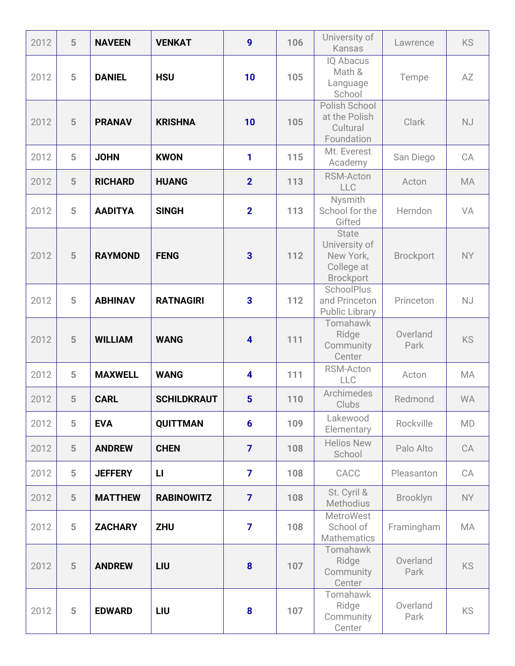| 2012 | 5 | <b>NAVEEN</b>  | <b>VENKAT</b>      | $\boldsymbol{9}$        | 106 | University of<br>Kansas                                                      | Lawrence         | <b>KS</b> |
|------|---|----------------|--------------------|-------------------------|-----|------------------------------------------------------------------------------|------------------|-----------|
| 2012 | 5 | <b>DANIEL</b>  | <b>HSU</b>         | 10                      | 105 | <b>IQ Abacus</b><br>Math &<br>Language<br>School                             | Tempe            | AZ        |
| 2012 | 5 | <b>PRANAV</b>  | <b>KRISHNA</b>     | 10                      | 105 | Polish School<br>at the Polish<br>Cultural<br>Foundation                     | Clark            | <b>NJ</b> |
| 2012 | 5 | <b>JOHN</b>    | <b>KWON</b>        | 1                       | 115 | Mt. Everest<br>Academy                                                       | San Diego        | CA        |
| 2012 | 5 | <b>RICHARD</b> | <b>HUANG</b>       | $\overline{2}$          | 113 | <b>RSM-Acton</b><br>LLC                                                      | Acton            | <b>MA</b> |
| 2012 | 5 | <b>AADITYA</b> | <b>SINGH</b>       | $\overline{2}$          | 113 | Nysmith<br>School for the<br>Gifted                                          | Herndon          | VA        |
| 2012 | 5 | <b>RAYMOND</b> | <b>FENG</b>        | $\overline{\mathbf{3}}$ | 112 | <b>State</b><br>University of<br>New York,<br>College at<br><b>Brockport</b> | <b>Brockport</b> | NY        |
| 2012 | 5 | <b>ABHINAV</b> | <b>RATNAGIRI</b>   | $\overline{\mathbf{3}}$ | 112 | <b>SchoolPlus</b><br>and Princeton<br><b>Public Library</b>                  | Princeton        | <b>NJ</b> |
| 2012 | 5 | <b>WILLIAM</b> | <b>WANG</b>        | $\overline{\mathbf{4}}$ | 111 | Tomahawk<br>Ridge<br>Community<br>Center                                     | Overland<br>Park | <b>KS</b> |
| 2012 | 5 | <b>MAXWELL</b> | <b>WANG</b>        | $\overline{\mathbf{4}}$ | 111 | RSM-Acton<br>LLC                                                             | Acton            | <b>MA</b> |
| 2012 | 5 | <b>CARL</b>    | <b>SCHILDKRAUT</b> | $5\phantom{1}$          | 110 | Archimedes<br>Clubs                                                          | Redmond          | <b>WA</b> |
| 2012 | 5 | <b>EVA</b>     | <b>QUITTMAN</b>    | $6\phantom{1}$          | 109 | Lakewood<br>Elementary                                                       | Rockville        | <b>MD</b> |
| 2012 | 5 | <b>ANDREW</b>  | <b>CHEN</b>        | $\overline{7}$          | 108 | <b>Helios New</b><br>School                                                  | Palo Alto        | CA        |
| 2012 | 5 | <b>JEFFERY</b> | $\mathbf{L}$       | $\overline{7}$          | 108 | CACC                                                                         | Pleasanton       | CA        |
| 2012 | 5 | <b>MATTHEW</b> | <b>RABINOWITZ</b>  | $\overline{7}$          | 108 | St. Cyril &<br><b>Methodius</b>                                              | Brooklyn         | NY        |
| 2012 | 5 | <b>ZACHARY</b> | <b>ZHU</b>         | $\overline{7}$          | 108 | <b>MetroWest</b><br>School of<br><b>Mathematics</b>                          | Framingham       | MA        |
| 2012 | 5 | <b>ANDREW</b>  | LIU                | $\boldsymbol{8}$        | 107 | Tomahawk<br>Ridge<br>Community<br>Center                                     | Overland<br>Park | <b>KS</b> |
| 2012 | 5 | <b>EDWARD</b>  | LIU                | 8                       | 107 | Tomahawk<br>Ridge<br>Community<br>Center                                     | Overland<br>Park | <b>KS</b> |